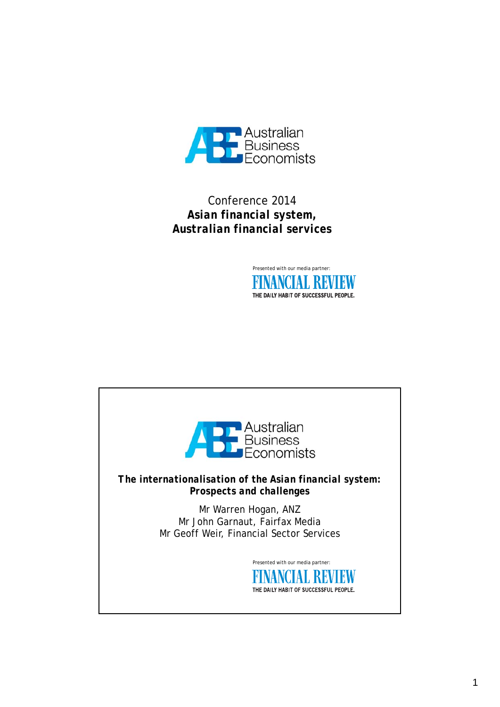

## Conference 2014 *Asian financial system, Australian financial services*



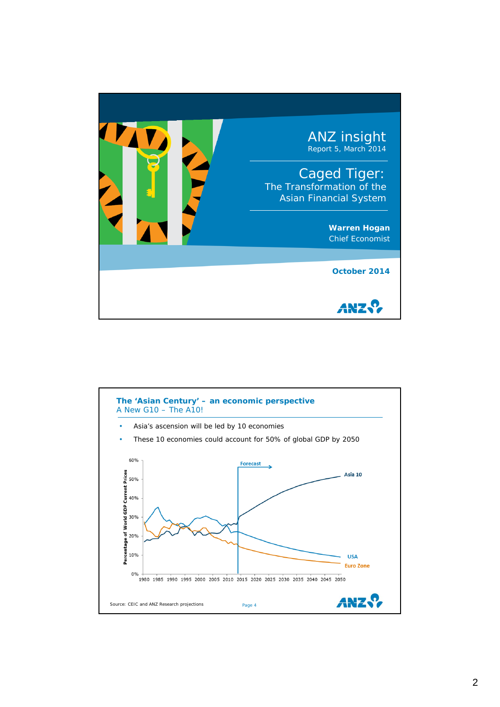

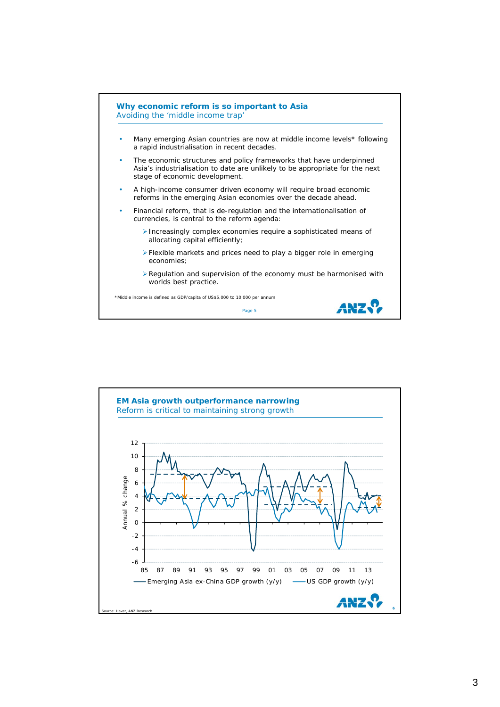

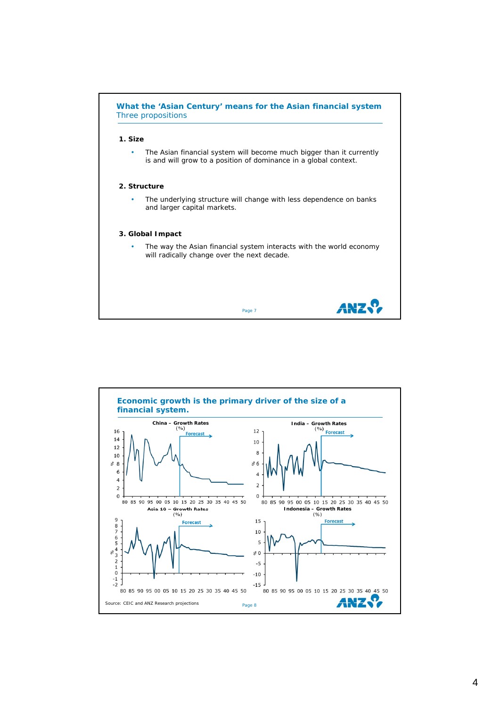

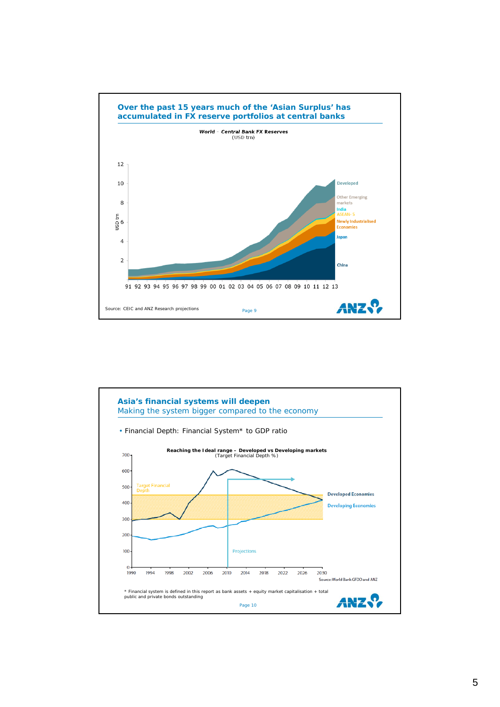

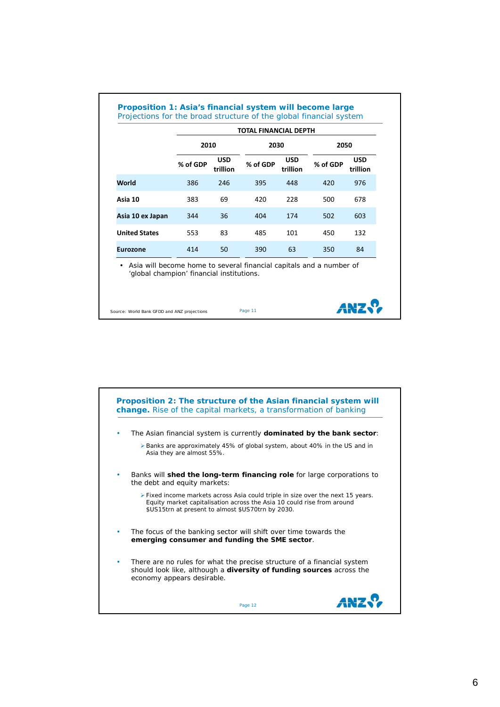|                      | <b>TOTAL FINANCIAL DEPTH</b> |                        |          |                        |          |                        |
|----------------------|------------------------------|------------------------|----------|------------------------|----------|------------------------|
|                      | 2010                         |                        | 2030     |                        | 2050     |                        |
|                      | % of GDP                     | <b>USD</b><br>trillion | % of GDP | <b>USD</b><br>trillion | % of GDP | <b>USD</b><br>trillion |
| <b>World</b>         | 386                          | 246                    | 395      | 448                    | 420      | 976                    |
| Asia 10              | 383                          | 69                     | 420      | 228                    | 500      | 678                    |
| Asia 10 ex Japan     | 344                          | 36                     | 404      | 174                    | 502      | 603                    |
| <b>United States</b> | 553                          | 83                     | 485      | 101                    | 450      | 132                    |
| <b>Eurozone</b>      | 414                          | 50                     | 390      | 63                     | 350      | 84                     |

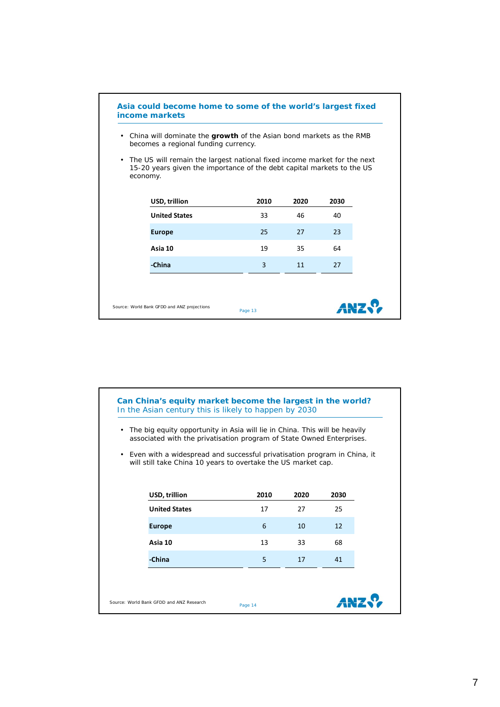

**Can China's equity market become the largest in the world?** In the Asian century this is likely to happen by 2030 • The big equity opportunity in Asia will lie in China. This will be heavily associated with the privatisation program of State Owned Enterprises. • Even with a widespread and successful privatisation program in China, it will still take China 10 years to overtake the US market cap.

| USD, trillion                            | 2010    | 2020 | 2030 |
|------------------------------------------|---------|------|------|
| <b>United States</b>                     | 17      | 27   | 25   |
| <b>Europe</b>                            | 6       | 10   | 12   |
| Asia 10                                  | 13      | 33   | 68   |
| -China                                   | 5       | 17   | 41   |
|                                          |         |      |      |
| Source: World Bank GFDD and ANZ Research | Page 14 |      |      |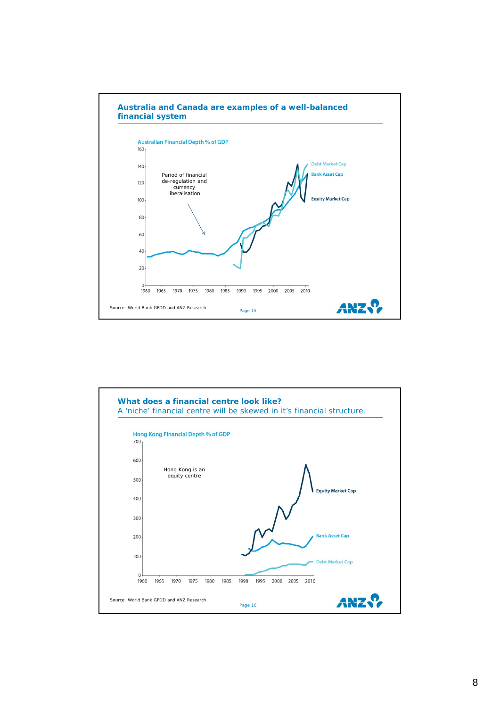

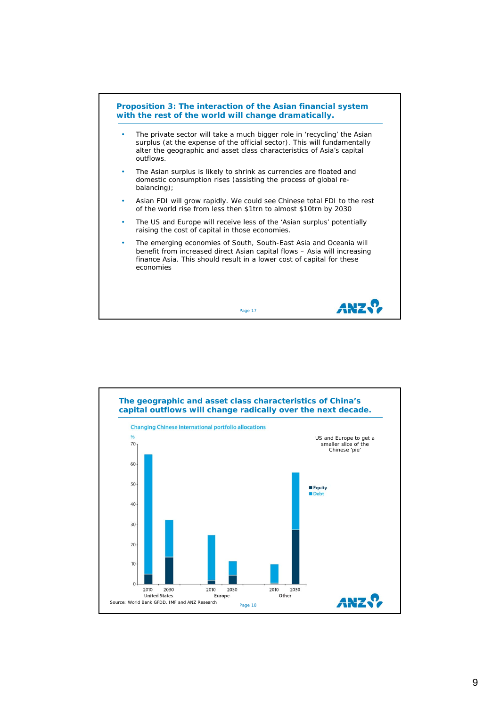

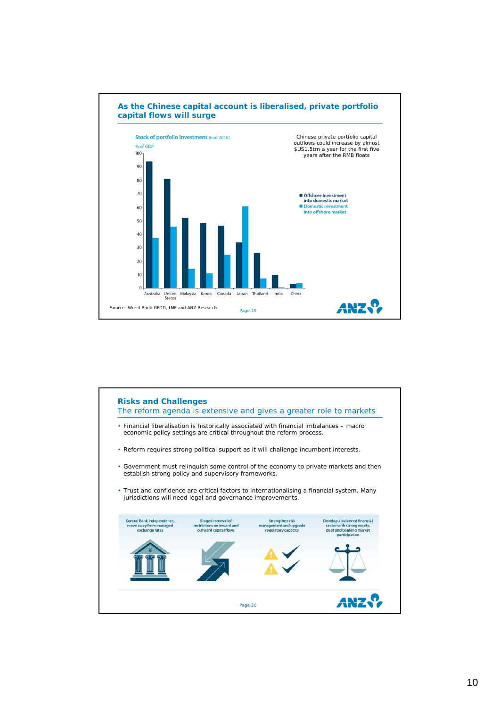

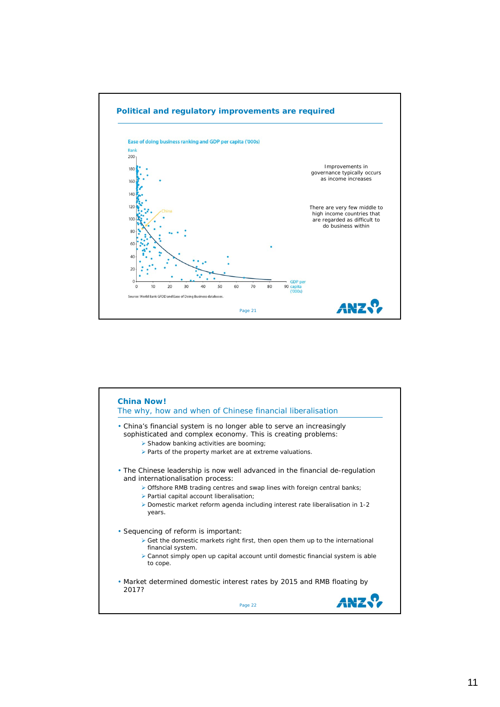

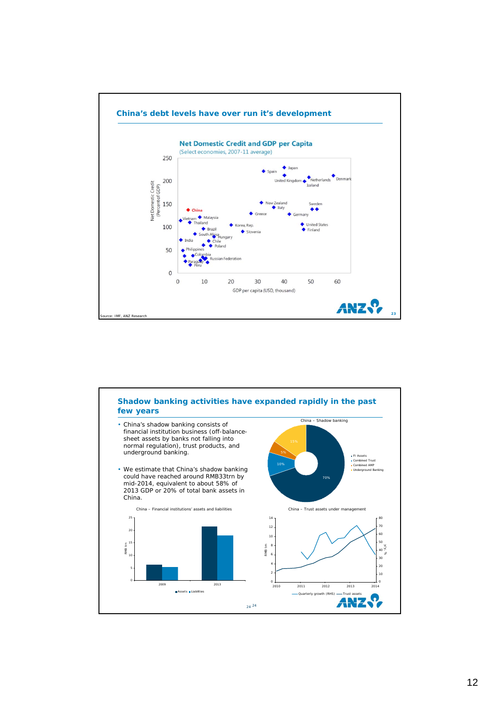

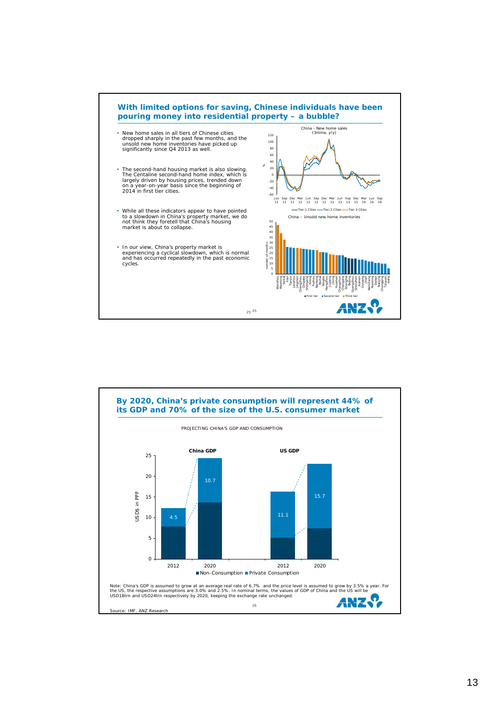

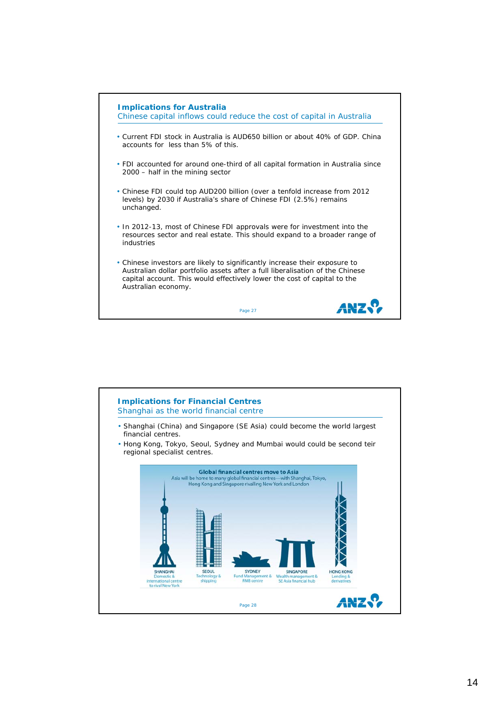

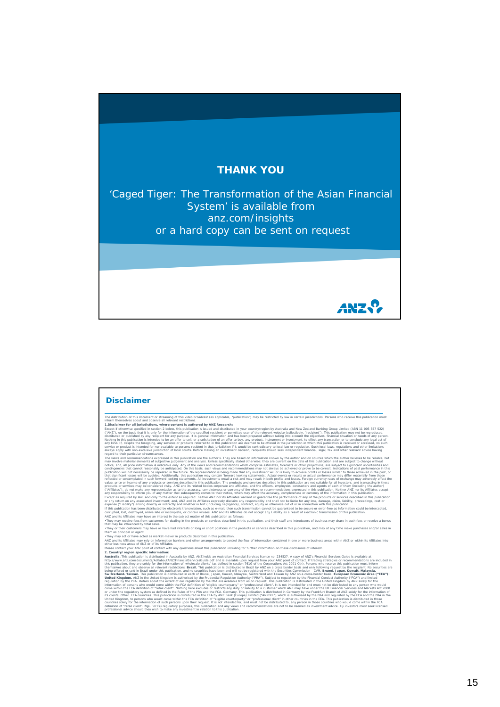## **THANK YOU**

'Caged Tiger: The Transformation of the Asian Financial System' is available from *anz.com/insights* or a hard copy can be sent on request

ANZ.?

## The abstracter of the starset of wording of this visible income the starset of mapping the starset of the starset of the starset of the starset of the starset of the starset of the starset of the starset of the starset of **Disclaimer**